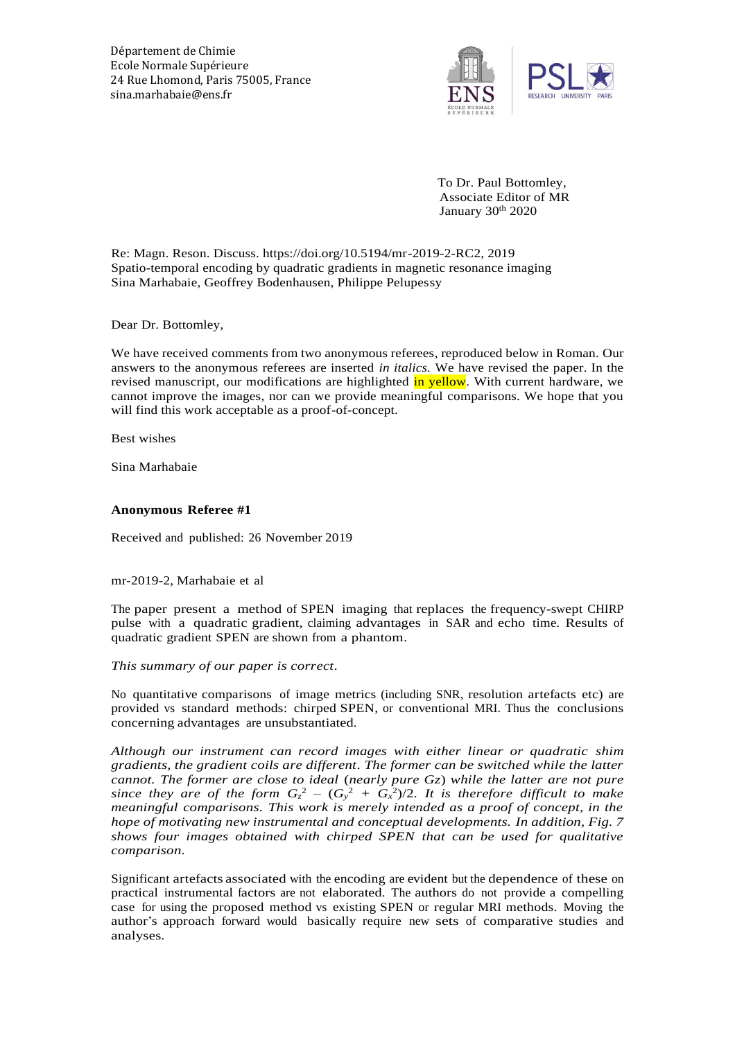Département de Chimie Ecole Normale Supérieure 24 Rue Lhomond, Paris 75005, France sina.marhabaie@ens.fr



 To Dr. Paul Bottomley, Associate Editor of MR January 30<sup>th</sup> 2020

Re: Magn. Reson. Discuss. https://doi.org/10.5194/mr-2019-2-RC2, 2019 Spatio-temporal encoding by quadratic gradients in magnetic resonance imaging Sina Marhabaie, Geoffrey Bodenhausen, Philippe Pelupessy

Dear Dr. Bottomley,

We have received comments from two anonymous referees, reproduced below in Roman. Our answers to the anonymous referees are inserted *in italics.* We have revised the paper. In the revised manuscript, our modifications are highlighted in yellow. With current hardware, we cannot improve the images, nor can we provide meaningful comparisons. We hope that you will find this work acceptable as a proof-of-concept.

Best wishes

Sina Marhabaie

### **Anonymous Referee #1**

Received and published: 26 November 2019

### mr-2019-2, Marhabaie et al

The paper present a method of SPEN imaging that replaces the frequency-swept CHIRP pulse with a quadratic gradient, claiming advantages in SAR and echo time. Results of quadratic gradient SPEN are shown from a phantom.

*This summary of our paper is correct.*

No quantitative comparisons of image metrics (including SNR, resolution artefacts etc) are provided vs standard methods: chirped SPEN, or conventional MRI. Thus the conclusions concerning advantages are unsubstantiated.

*Although our instrument can record images with either linear or quadratic shim gradients, the gradient coils are different. The former can be switched while the latter cannot. The former are close to ideal* (*nearly pure Gz*) *while the latter are not pure*  since they are of the form  $G_z^2 - (G_y^2 + G_x^2)/2$ . It is therefore difficult to make *meaningful comparisons. This work is merely intended as a proof of concept, in the hope of motivating new instrumental and conceptual developments. In addition, Fig. 7 shows four images obtained with chirped SPEN that can be used for qualitative comparison.*

Significant artefacts associated with the encoding are evident but the dependence of these on practical instrumental factors are not elaborated. The authors do not provide a compelling case for using the proposed method vs existing SPEN or regular MRI methods. Moving the author's approach forward would basically require new sets of comparative studies and analyses.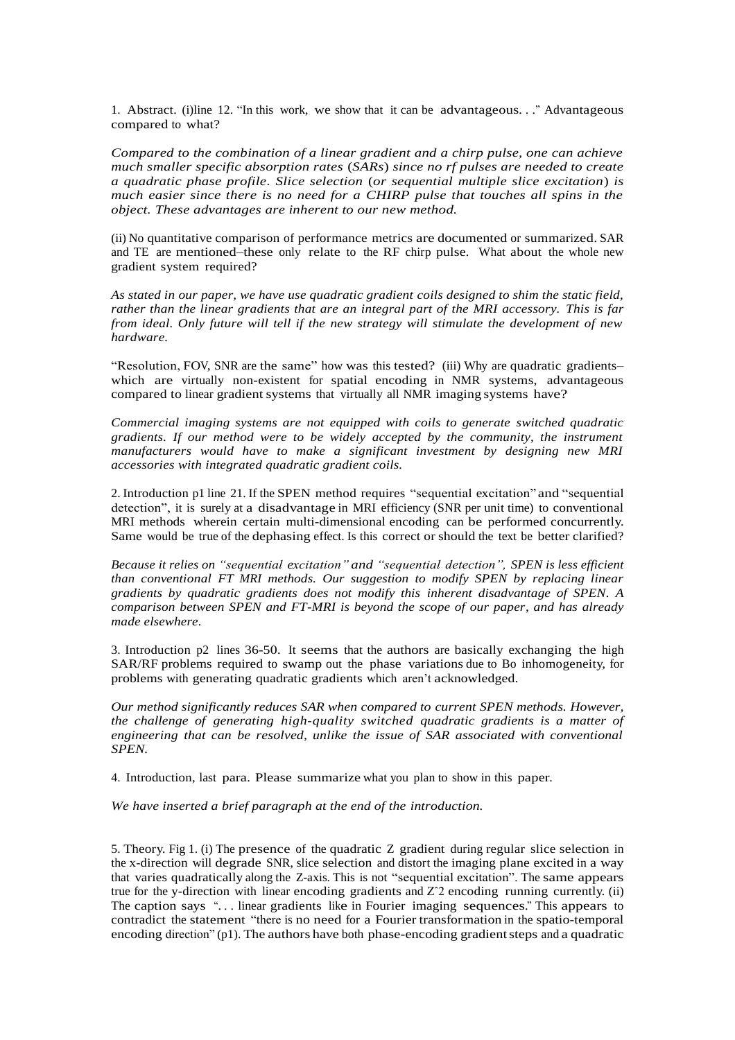1. Abstract. (i)line 12. "In this work, we show that it can be advantageous*. . .*" Advantageous compared to what?

*Compared to the combination of a linear gradient and a chirp pulse, one can achieve much smaller specific absorption rates* (*SARs*) *since no rf pulses are needed to create a quadratic phase profile. Slice selection* (*or sequential multiple slice excitation*) *is much easier since there is no need for a CHIRP pulse that touches all spins in the object. These advantages are inherent to our new method.*

(ii) No quantitative comparison of performance metrics are documented or summarized. SAR and TE are mentioned–these only relate to the RF chirp pulse. What about the whole new gradient system required?

*As stated in our paper, we have use quadratic gradient coils designed to shim the static field, rather than the linear gradients that are an integral part of the MRI accessory. This is far from ideal. Only future will tell if the new strategy will stimulate the development of new hardware.*

"Resolution, FOV, SNR are the same" how was this tested? (iii) Why are quadratic gradients– which are virtually non-existent for spatial encoding in NMR systems, advantageous compared to linear gradient systems that virtually all NMR imaging systems have?

*Commercial imaging systems are not equipped with coils to generate switched quadratic gradients. If our method were to be widely accepted by the community, the instrument manufacturers would have to make a significant investment by designing new MRI accessories with integrated quadratic gradient coils.*

2. Introduction p1 line 21. If the SPEN method requires "sequential excitation" and "sequential detection", it is surely at a disadvantage in MRI efficiency (SNR per unit time) to conventional MRI methods wherein certain multi-dimensional encoding can be performed concurrently. Same would be true of the dephasing effect. Is this correct or should the text be better clarified?

*Because it relies on "sequential excitation" and "sequential detection", SPEN is less efficient than conventional FT MRI methods. Our suggestion to modify SPEN by replacing linear gradients by quadratic gradients does not modify this inherent disadvantage of SPEN. A comparison between SPEN and FT-MRI is beyond the scope of our paper, and has already made elsewhere.*

3. Introduction p2 lines 36-50. It seems that the authors are basically exchanging the high SAR/RF problems required to swamp out the phase variations due to Bo inhomogeneity, for problems with generating quadratic gradients which aren't acknowledged.

*Our method significantly reduces SAR when compared to current SPEN methods. However, the challenge of generating high-quality switched quadratic gradients is a matter of engineering that can be resolved, unlike the issue of SAR associated with conventional SPEN.*

4. Introduction, last para. Please summarize what you plan to show in this paper.

*We have inserted a brief paragraph at the end of the introduction.*

5. Theory. Fig 1. (i) The presence of the quadratic Z gradient during regular slice selection in the x-direction will degrade SNR, slice selection and distort the imaging plane excited in a way that varies quadratically along the Z-axis. This is not "sequential excitation". The same appears true for the y-direction with linear encoding gradients and Zˆ2 encoding running currently. (ii) The caption says "*. . .* linear gradients like in Fourier imaging sequences." This appears to contradict the statement "there is no need for a Fourier transformation in the spatio-temporal encoding direction" (p1). The authors have both phase-encoding gradient steps and a quadratic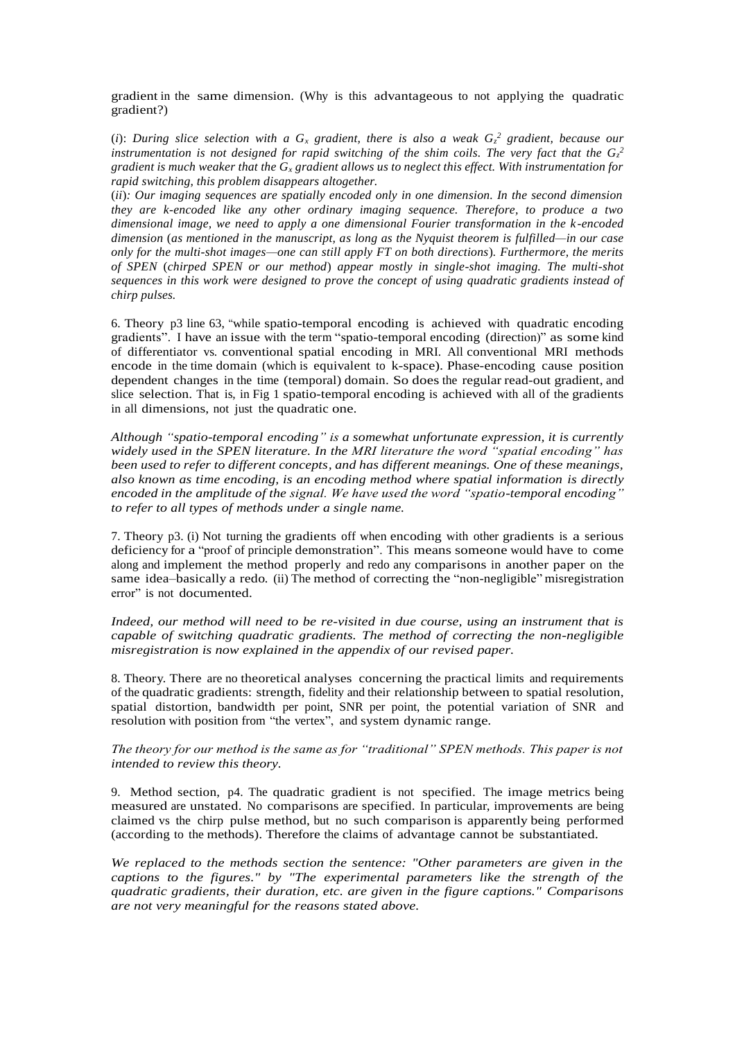gradient in the same dimension. (Why is this advantageous to not applying the quadratic gradient?)

(*i*): During slice selection with a  $G_x$  gradient, there is also a weak  $G_z^2$  gradient, because our instrumentation is not designed for rapid switching of the shim coils. The very fact that the  $G_z^2$ *gradient is much weaker that the G<sup>x</sup> gradient allows us to neglect this effect. With instrumentation for rapid switching, this problem disappears altogether.*

(*ii*)*: Our imaging sequences are spatially encoded only in one dimension. In the second dimension they are k-encoded like any other ordinary imaging sequence. Therefore, to produce a two dimensional image, we need to apply a one dimensional Fourier transformation in the k -encoded dimension* (*as mentioned in the manuscript, as long as the Nyquist theorem is fulfilled—in our case only for the multi-shot images—one can still apply FT on both directions*)*. Furthermore, the merits of SPEN* (*chirped SPEN or our method*) *appear mostly in single-shot imaging. The multi-shot sequences in this work were designed to prove the concept of using quadratic gradients instead of chirp pulses.*

6. Theory p3 line 63, "while spatio-temporal encoding is achieved with quadratic encoding gradients". I have an issue with the term "spatio-temporal encoding (direction)" as some kind of differentiator vs. conventional spatial encoding in MRI. All conventional MRI methods encode in the time domain (which is equivalent to k-space). Phase-encoding cause position dependent changes in the time (temporal) domain. So does the regular read-out gradient, and slice selection. That is, in Fig 1 spatio-temporal encoding is achieved with all of the gradients in all dimensions, not just the quadratic one.

*Although "spatio-temporal encoding" is a somewhat unfortunate expression, it is currently widely used in the SPEN literature. In the MRI literature the word "spatial encoding" has been used to refer to different concepts, and has different meanings. One of these meanings, also known as time encoding, is an encoding method where spatial information is directly encoded in the amplitude of the signal. We have used the word "spatio-temporal encoding" to refer to all types of methods under a single name.* 

7. Theory p3. (i) Not turning the gradients off when encoding with other gradients is a serious deficiency for a "proof of principle demonstration". This means someone would have to come along and implement the method properly and redo any comparisons in another paper on the same idea–basically a redo. (ii) The method of correcting the "non-negligible" misregistration error" is not documented.

*Indeed, our method will need to be re-visited in due course, using an instrument that is capable of switching quadratic gradients. The method of correcting the non-negligible misregistration is now explained in the appendix of our revised paper.*

8. Theory. There are no theoretical analyses concerning the practical limits and requirements of the quadratic gradients: strength, fidelity and their relationship between to spatial resolution, spatial distortion, bandwidth per point, SNR per point, the potential variation of SNR and resolution with position from "the vertex", and system dynamic range.

# *The theory for our method is the same as for "traditional" SPEN methods. This paper is not intended to review this theory.*

9. Method section, p4. The quadratic gradient is not specified. The image metrics being measured are unstated. No comparisons are specified. In particular, improvements are being claimed vs the chirp pulse method, but no such comparison is apparently being performed (according to the methods). Therefore the claims of advantage cannot be substantiated.

*We replaced to the methods section the sentence: "Other parameters are given in the captions to the figures." by "The experimental parameters like the strength of the quadratic gradients, their duration, etc. are given in the figure captions." Comparisons are not very meaningful for the reasons stated above.*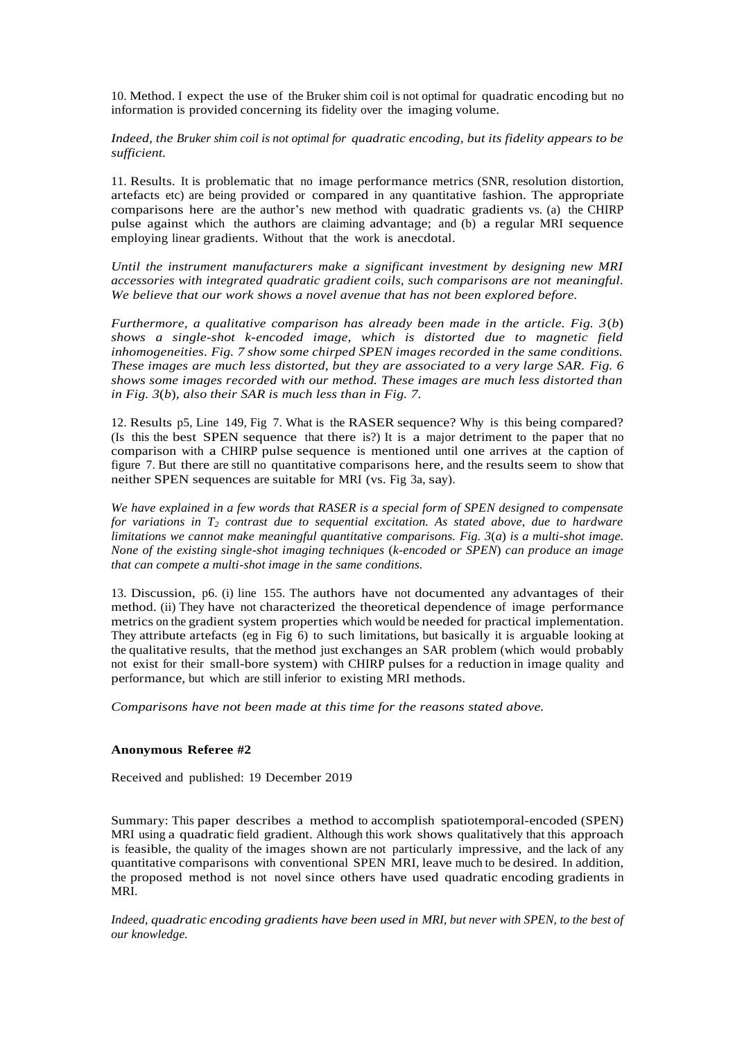10. Method. I expect the use of the Bruker shim coil is not optimal for quadratic encoding but no information is provided concerning its fidelity over the imaging volume.

*Indeed, the Bruker shim coil is not optimal for quadratic encoding, but its fidelity appears to be sufficient.*

11. Results. It is problematic that no image performance metrics (SNR, resolution distortion, artefacts etc) are being provided or compared in any quantitative fashion. The appropriate comparisons here are the author's new method with quadratic gradients vs. (a) the CHIRP pulse against which the authors are claiming advantage; and (b) a regular MRI sequence employing linear gradients. Without that the work is anecdotal.

*Until the instrument manufacturers make a significant investment by designing new MRI accessories with integrated quadratic gradient coils, such comparisons are not meaningful. We believe that our work shows a novel avenue that has not been explored before.*

*Furthermore, a qualitative comparison has already been made in the article. Fig. 3*(*b*) *shows a single-shot k-encoded image, which is distorted due to magnetic field inhomogeneities. Fig. 7 show some chirped SPEN images recorded in the same conditions. These images are much less distorted, but they are associated to a very large SAR. Fig. 6 shows some images recorded with our method. These images are much less distorted than in Fig. 3*(*b*)*, also their SAR is much less than in Fig. 7.* 

12. Results p5, Line 149, Fig 7. What is the RASER sequence? Why is this being compared? (Is this the best SPEN sequence that there is?) It is a major detriment to the paper that no comparison with a CHIRP pulse sequence is mentioned until one arrives at the caption of figure 7. But there are still no quantitative comparisons here, and the results seem to show that neither SPEN sequences are suitable for MRI (vs. Fig 3a, say).

*We have explained in a few words that RASER is a special form of SPEN designed to compensate for variations in T<sup>2</sup> contrast due to sequential excitation. As stated above, due to hardware limitations we cannot make meaningful quantitative comparisons. Fig. 3*(*a*) *is a multi-shot image. None of the existing single-shot imaging techniques* (*k-encoded or SPEN*) *can produce an image that can compete a multi-shot image in the same conditions.* 

13. Discussion, p6. (i) line 155. The authors have not documented any advantages of their method. (ii) They have not characterized the theoretical dependence of image performance metrics on the gradient system properties which would be needed for practical implementation. They attribute artefacts (eg in Fig 6) to such limitations, but basically it is arguable looking at the qualitative results, that the method just exchanges an SAR problem (which would probably not exist for their small-bore system) with CHIRP pulses for a reduction in image quality and performance, but which are still inferior to existing MRI methods.

*Comparisons have not been made at this time for the reasons stated above.*

## **Anonymous Referee #2**

Received and published: 19 December 2019

Summary: This paper describes a method to accomplish spatiotemporal-encoded (SPEN) MRI using a quadratic field gradient. Although this work shows qualitatively that this approach is feasible, the quality of the images shown are not particularly impressive, and the lack of any quantitative comparisons with conventional SPEN MRI, leave much to be desired. In addition, the proposed method is not novel since others have used quadratic encoding gradients in MRI.

*Indeed, quadratic encoding gradients have been used in MRI, but never with SPEN, to the best of our knowledge.*